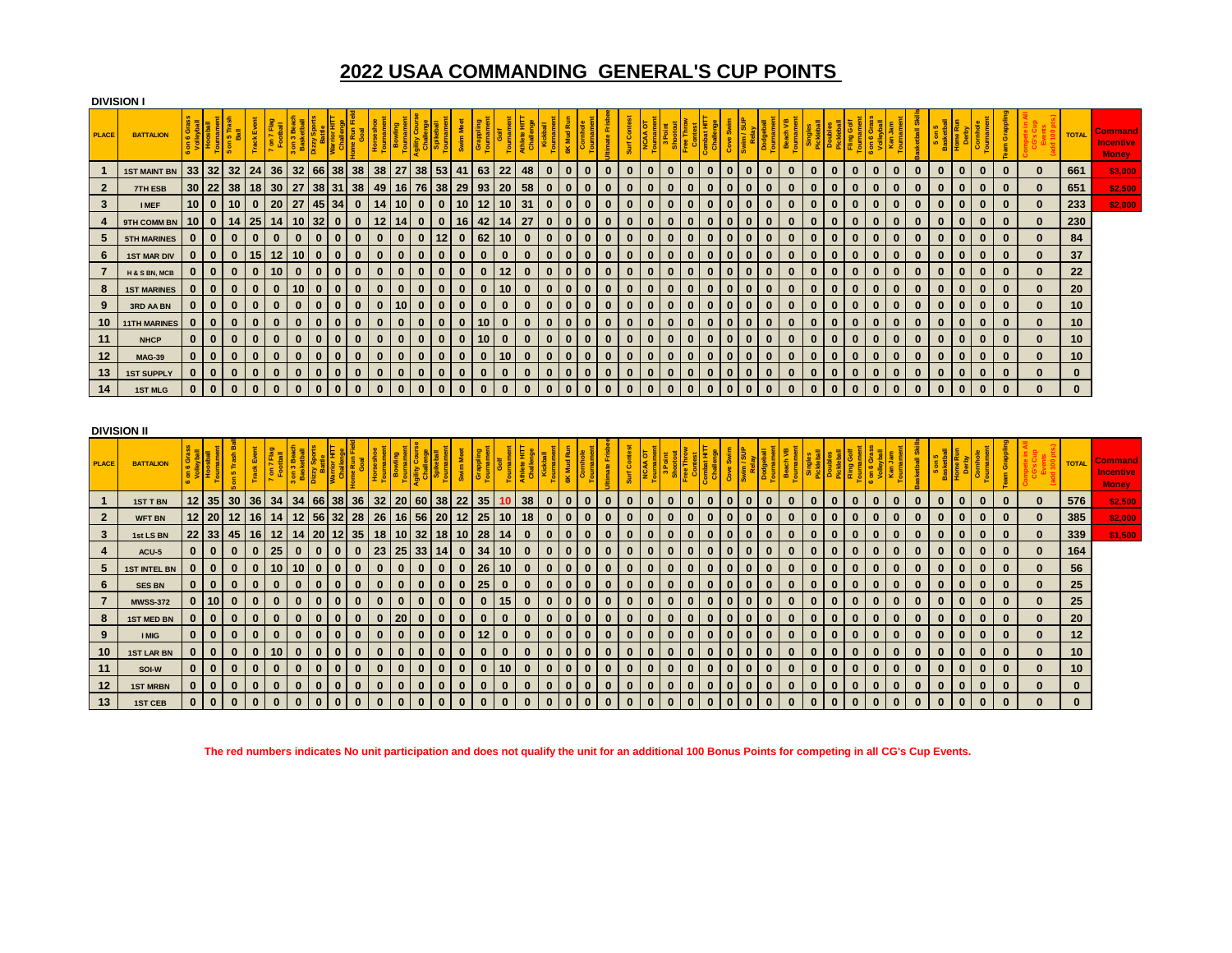## **2022 USAA COMMANDING GENERAL'S CUP POINTS**

|                | <b>DIVISION I</b>   |                 |              |                                             |              |              |                   |              |                 |              |              |              |                  |                 |                 |          |          |              |              |                           |          |          |           |              |              |              |              |              |          |              |              |             |          |          |                |              |              |                |              |                          |          |              |                                             |
|----------------|---------------------|-----------------|--------------|---------------------------------------------|--------------|--------------|-------------------|--------------|-----------------|--------------|--------------|--------------|------------------|-----------------|-----------------|----------|----------|--------------|--------------|---------------------------|----------|----------|-----------|--------------|--------------|--------------|--------------|--------------|----------|--------------|--------------|-------------|----------|----------|----------------|--------------|--------------|----------------|--------------|--------------------------|----------|--------------|---------------------------------------------|
| <b>PLACE</b>   | <b>BATTALION</b>    | 5 <sup>5</sup>  |              | $5\frac{1}{8}$<br>$\mathbf{s}$<br><b>SC</b> | Track        | $7$ on $7$   | on 3 Be<br>Basket | Dizzy        |                 |              |              |              | Agility<br>Chall |                 |                 |          |          |              |              | $\frac{\kappa}{6}$        |          |          | 8<br>Surf |              |              |              |              |              |          |              | Beach        |             |          |          | alles<br>이 이 이 |              |              | 5 on<br>Basket |              | Grap<br>F                |          | <b>TOTAL</b> | Comman<br><b>Incentive</b><br><b>Money</b>  |
| $\mathbf{1}$   | <b>1ST MAINT BN</b> | 33              | 32           | 32                                          | 24           | 36           | 32                | 66           | 38 <sup>l</sup> | 38           | 38           | 27           | 38               | 53              | 41              | 63       | 22       | 48           | $\bf{0}$     | $\bf{0}$                  | $\bf{0}$ | $\bf{0}$ | $\bf{0}$  | $\Omega$     | $\bf{0}$     | $\bf{0}$     | $\bf{0}$     | $\bf{0}$     | $\bf{0}$ | $\bf{0}$     | $\mathbf{0}$ | $\bf{0}$    | $\bf{0}$ | $\bf{0}$ | $\bf{0}$       | $\bf{0}$     | $\bf{0}$     | $\bf{0}$       | $\mathbf{0}$ | $\bf{0}$<br>$\bf{0}$     | $\bf{0}$ | 661          | \$3,000                                     |
| $\mathbf{2}$   | <b>7TH ESB</b>      | 30              | 22           | 38                                          | 18           | 30           | 27                | 38           | 31              | 38           | 49           | 16           | 76               | 38              | 29              | 93       | 20       | 58           | $\bf{0}$     | $\bf{0}$                  | $\bf{0}$ | $\bf{0}$ | $\bf{0}$  | $\mathbf{0}$ | $\bf{0}$     | $\bf{0}$     | $\bf{0}$     | $\bf{0}$     | $\bf{0}$ | $\bf{0}$     | $\Omega$     | $\bf{0}$    | $\Omega$ | $\Omega$ | $\bf{0}$       | $\mathbf{0}$ | $\Omega$     | $\bf{0}$       | $\mathbf{0}$ | $\bf{0}$<br>$\bf{0}$     | $\bf{0}$ | 651          | \$2,500                                     |
| $\mathbf{3}$   | <b>I MEF</b>        | 10              | $\mathbf{0}$ | 10                                          | $\bf{0}$     | 20           | 27                | 45           | 34              | $\bf{0}$     | 14           | 10           | $\bf{0}$         | $\bf{0}$        | 10              | 12       | 10       | 31           | $\bf{0}$     | $\mathbf{0}$              | $\bf{0}$ | $\bf{0}$ | $\bf{0}$  | $\bf{0}$     | $\bf{0}$     | $\bf{0}$     | $\bf{0}$     | $\bf{0}$     | $\bf{0}$ | $\bf{0}$     | $\bf{0}$     | $\bf{0}$    | $\bf{0}$ | $\bf{0}$ | $\bf{0}$       | $\bf{0}$     | $\bf{0}$     | $\bf{0}$       | $\bf{0}$     | $\bf{0}$<br>$\bf{0}$     | $\bf{0}$ | 233          | \$2,000                                     |
| 4              | 9TH COMM BN         | 10              | $\bf{0}$     | 14                                          | 25           | 14           | 10                | 32           | $\bf{0}$        | $\bf{0}$     | 12           | 14           | $\bf{0}$         | $\bf{0}$        | 16              | 42       | 14       | 27           | $\bf{0}$     | $\mathbf{0}$              | $\bf{0}$ | $\bf{0}$ | $\bf{0}$  | $\bf{0}$     | $\bf{0}$     | $\bf{0}$     | $\bf{0}$     | $\bf{0}$     | $\bf{0}$ | $\mathbf{0}$ | $\mathbf{0}$ | $\bf{0}$    | $\bf{0}$ | $\bf{0}$ | $\bf{0}$       | $\bf{0}$     | $\bf{0}$     | $\bf{0}$       | $\mathbf{0}$ | $\mathbf{0}$<br>$\bf{0}$ | $\bf{0}$ | 230          |                                             |
| 5              | <b>5TH MARINES</b>  | $\bf{0}$        | $\mathbf{0}$ | $\mathbf{0}$                                | $\bf{0}$     | $\bf{0}$     | $\bf{0}$          | $\mathbf{0}$ | $\bf{0}$        | $\bf{0}$     | $\bf{0}$     | $\bf{0}$     | $\bf{0}$         | 12              | $\bf{0}$        | 62       | 10       | $\mathbf{0}$ | $\mathbf{0}$ | $\mathbf{0}$              | $\bf{0}$ | $\bf{0}$ | $\bf{0}$  | $\bf{0}$     | $\bf{0}$     | $\mathbf{0}$ | $\bf{0}$     | $\mathbf{0}$ | $\bf{0}$ | $\mathbf{0}$ | $\bf{0}$     | $\bf{0}$    | $\bf{0}$ | $\bf{0}$ | $\bf{0}$       | $\bf{0}$     | $\bf{0}$     | $\bf{0}$       | $\bf{0}$     | $\mathbf{0}$<br>$\bf{0}$ | $\bf{0}$ | 84           |                                             |
| 6              | <b>1ST MAR DIV</b>  | $\bf{0}$        | $\mathbf{0}$ | $\mathbf{0}$                                | 15           | 12           | 10                | $\mathbf{0}$ | $\bf{0}$        | $\mathbf{0}$ | $\mathbf{0}$ | $\bf{0}$     | $\bf{0}$         | $\bf{0}$        | $\mathbf{0}$    | $\bf{0}$ | $\bf{0}$ | $\mathbf{0}$ | $\mathbf{0}$ | $\mathbf{0}$              | $\bf{0}$ | $\bf{0}$ | $\bf{0}$  | $\bf{0}$     | $\bf{0}$     | $\bf{0}$     | $\bf{0}$     | $\mathbf 0$  | $\bf{0}$ | $\bf{0}$     | $\bf{0}$     | $\bf{0}$    | $\bf{0}$ | $\bf{0}$ | $\bf{0}$       | $\bf{0}$     | $\bf{0}$     | $\bf{0}$       | $\mathbf{0}$ | $\mathbf{0}$<br>$\bf{0}$ | $\bf{0}$ | 37           |                                             |
| $\overline{7}$ | H & S BN, MCB       | $\bf{0}$        | $\mathbf{0}$ | $\mathbf{0}$                                | $\bf{0}$     | 10           | $\bf{0}$          | $\mathbf{0}$ | $\bf{0}$        | $\bf{0}$     | $\bf{0}$     | $\bf{0}$     | $\bf{0}$         | $\bf{0}$        | $\mathbf{0}$    | $\bf{0}$ | 12       | $\bf{0}$     | $\bf{0}$     | $\mathbf{0}$              | $\bf{0}$ | $\bf{0}$ | $\bf{0}$  | $\bf{0}$     | $\mathbf{0}$ | $\bf{0}$     | $\bf{0}$     | $\bf{0}$     | $\bf{0}$ | $\mathbf{0}$ | $\bf{0}$     | $\bf{0}$    | $\bf{0}$ | $\bf{0}$ | $\bf{0}$       | $\bf{0}$     | $\bf{0}$     | $\bf{0}$       | $\mathbf{0}$ | $\bf{0}$<br>$\mathbf{0}$ | $\bf{0}$ | 22           |                                             |
| 8              | <b>1ST MARINES</b>  | $\bf{0}$        | $\mathbf{0}$ | $\bf{0}$                                    | $\bf{0}$     | $\bf{0}$     | 10                | $\bf{0}$     | $\bf{0}$        | $\bf{0}$     | $\bf{0}$     | $\bf{0}$     | $\mathbf 0$      | $\bf{0}$        | $\bf{0}$        | $\bf{0}$ | 10       | $\bf{0}$     | $\bf{0}$     | $\bf{0}$                  | $\bf{0}$ | $\bf{0}$ | $\bf{0}$  | $\bf{0}$     | $\bf{0}$     | $\bf{0}$     | $\bf{0}$     | $\bf{0}$     | $\bf{0}$ | $\bf{0}$     | $\bf{0}$     | $\bf{0}$    | $\bf{0}$ | $\bf{0}$ | $\bf{0}$       | $\bf{0}$     | $\bf{0}$     | $\bf{0}$       | $\mathbf{0}$ | $\bf{0}$<br>$\mathbf{0}$ | $\bf{0}$ | 20           |                                             |
| 9              | 3RD AA BN           | $\bf{0}$        | $\bf{0}$     | $\bf{0}$                                    | $\bf{0}$     | $\bf{0}$     | $\bf{0}$          | $\bf{0}$     | $\bf{0}$        | $\bf{0}$     | $\bf{0}$     | 10           | $\bf{0}$         | $\bf{0}$        | $\bf{0}$        | $\bf{0}$ | $\bf{0}$ | $\bf{0}$     | $\bf{0}$     | $\mathbf{0}$              | $\bf{0}$ | $\bf{0}$ | $\bf{0}$  | $\bf{0}$     | $\bf{0}$     | $\bf{0}$     | $\mathbf{0}$ | $\mathbf 0$  | $\bf{0}$ | $\bf{0}$     | $\mathbf{0}$ | $\bf{0}$    | $\bf{0}$ | $\bf{0}$ | $\bf{0}$       | $\bf{0}$     | $\bf{0}$     | $\bf{0}$       | $\mathbf{0}$ | $\bf{0}$<br>$\mathbf{0}$ | $\bf{0}$ | 10           |                                             |
| 10             | <b>11TH MARINES</b> | $\bf{0}$        | $\bf{0}$     | $\bf{0}$                                    | $\bf{0}$     | $\bf{0}$     | $\bf{0}$          | $\bf{0}$     | $\bf{0}$        | $\bf{0}$     | $\bf{0}$     | $\bf{0}$     | $\bf{0}$         | $\bf{0}$        | $\bf{0}$        | 10       | $\bf{0}$ | $\bf{0}$     | $\bf{0}$     | $\bf{0}$                  | $\bf{0}$ | $\bf{0}$ | $\bf{0}$  | $\bf{0}$     | $\bf{0}$     | $\bf{0}$     | $\bf{0}$     | $\bf{0}$     | $\bf{0}$ | $\bf{0}$     | $\bf{0}$     | $\bf{0}$    | $\bf{0}$ | $\bf{0}$ | $\bf{0}$       | $\bf{0}$     | $\bf{0}$     | $\bf{0}$       | $\bf{0}$     | $\bf{0}$<br>$\mathbf{0}$ | $\bf{0}$ | 10           |                                             |
| 11             | <b>NHCP</b>         | $\bf{0}$        | $\bf{0}$     | $\mathbf{0}$                                | $\bf{0}$     | $\bf{0}$     | $\bf{0}$          | $\bf{0}$     | $\bf{0}$        | $\mathbf{0}$ | $\bf{0}$     | $\bf{0}$     | $\bf{0}$         | $\bf{0}$        | $\bf{0}$        | 10       | $\bf{0}$ | $\bf{0}$     | $\mathbf{0}$ | $\mathbf 0$               | $\bf{0}$ | $\bf{0}$ | $\bf{0}$  | $\bf{0}$     | $\bf{0}$     | $\bf{0}$     | $\mathbf{0}$ | $\bf{0}$     | $\bf{0}$ | $\bf{0}$     | $\mathbf{0}$ | $\mathbf 0$ | $\bf{0}$ | $\bf{0}$ | $\bf{0}$       | $\bf{0}$     | $\bf{0}$     | $\bf{0}$       | $\mathbf{0}$ | $\bf{0}$<br>$\bf{0}$     | $\bf{0}$ | 10           |                                             |
| $12$           | <b>MAG-39</b>       | $\bf{0}$        | $\bf{0}$     | $\bf{0}$                                    | $\bf{0}$     | $\bf{0}$     | $\bf{0}$          | $\bf{0}$     | $\bf{0}$        | $\bf{0}$     | $\bf{0}$     | $\bf{0}$     | $\bf{0}$         | $\bf{0}$        | $\bf{0}$        | $\bf{0}$ | 10       | $\bf{0}$     | $\bf{0}$     | $\mathbf 0$               | $\bf{0}$ | $\bf{0}$ | $\bf{0}$  | $\bf{0}$     | $\bf{0}$     | $\bf{0}$     | $\bf{0}$     | $\bf{0}$     | $\bf{0}$ | $\bf{0}$     | $\mathbf{0}$ | $\bf{0}$    | $\bf{0}$ | $\bf{0}$ | $\bf{0}$       | $\bf{0}$     | $\bf{0}$     | $\bf{0}$       | $\mathbf{0}$ | $\bf{0}$<br>$\bf{0}$     | $\bf{0}$ | 10           |                                             |
| 13             | <b>1ST SUPPLY</b>   | $\bf{0}$        | $\bf{0}$     | $\bf{0}$                                    | $\bf{0}$     | $\bf{0}$     | $\bf{0}$          | $\bf{0}$     | $\bf{0}$        | $\bf{0}$     | $\bf{0}$     | $\bf{0}$     | $\bf{0}$         | $\bf{0}$        | $\bf{0}$        | $\bf{0}$ | $\bf{0}$ | $\bf{0}$     | $\bf{0}$     | $\bf{0}$                  | $\bf{0}$ | $\bf{0}$ | $\bf{0}$  | $\bf{0}$     | $\bf{0}$     | $\bf{0}$     | $\bf{0}$     | $\bf{0}$     | $\bf{0}$ | $\bf{0}$     | $\bf{0}$     | $\bf{0}$    | $\bf{0}$ | $\bf{0}$ | $\bf{0}$       | $\bf{0}$     | $\bf{0}$     | $\bf{0}$       | $\mathbf{0}$ | $\bf{0}$<br>$\mathbf{0}$ | $\bf{0}$ | $\bf{0}$     |                                             |
| 14             | <b>1ST MLG</b>      | $\bf{0}$        | $\bf{0}$     | $\bf{0}$                                    | $\bf{0}$     | $\bf{0}$     | $\bf{0}$          | $\bf{0}$     | $\bf{0}$        | $\bf{0}$     | $\bf{0}$     | $\mathbf{0}$ | $\bf{0}$         | $\bf{0}$        | $\bf{0}$        | $\bf{0}$ | $\bf{0}$ | $\mathbf{0}$ | $\bf{0}$     | $\mathbf{0}$              | $\bf{0}$ | $\bf{0}$ | $\bf{0}$  | $\bf{0}$     | $\bf{0}$     | $\bf{0}$     | $\mathbf{0}$ | $\bf{0}$     | $\bf{0}$ | $\bf{0}$     | $\bf{0}$     | $\bf{0}$    | $\bf{0}$ | $\bf{0}$ | $\bf{0}$       | $\bf{0}$     | $\bf{0}$     | $\bf{0}$       | $\bf{0}$     | $\mathbf{0}$<br>$\bf{0}$ | $\bf{0}$ | $\mathbf{0}$ |                                             |
|                |                     |                 |              |                                             |              |              |                   |              |                 |              |              |              |                  |                 |                 |          |          |              |              |                           |          |          |           |              |              |              |              |              |          |              |              |             |          |          |                |              |              |                |              |                          |          |              |                                             |
|                |                     |                 |              |                                             |              |              |                   |              |                 |              |              |              |                  |                 |                 |          |          |              |              |                           |          |          |           |              |              |              |              |              |          |              |              |             |          |          |                |              |              |                |              |                          |          |              |                                             |
|                | <b>DIVISION II</b>  |                 |              |                                             |              |              |                   |              |                 |              |              |              |                  |                 |                 |          |          |              |              |                           |          |          |           |              |              |              |              |              |          |              |              |             |          |          |                |              |              |                |              |                          |          |              |                                             |
| <b>PLACE</b>   | <b>BATTALION</b>    | $5\overline{5}$ |              | Trash<br>$\frac{5}{10}$                     | Track        | on 7<br>Foot | 3 on 3 B          |              |                 |              | Horse        |              | Allity           |                 |                 |          |          |              |              | Mud<br>$\frac{\kappa}{6}$ |          |          | Surf Cor  |              |              |              |              |              |          | Dodget       | Beach VB     |             |          |          | <b>S</b>       |              |              | 5 on<br>Basket |              | eam Grapp                |          | <b>TOTAL</b> | Command<br><b>Incentive</b><br><b>Money</b> |
| $\mathbf{1}$   | <b>1ST T BN</b>     | 12              | 35           | 30                                          | 36           | 34           | 34                | 66           | 38              | 36           | 32           | 20           | 60               | 38              | 22              | 35       | 10       | 38           | $\bf{0}$     | $\mathbf{0}$              | $\bf{0}$ | $\bf{0}$ | $\bf{0}$  | $\bf{0}$     | $\bf{0}$     | $\bf{0}$     | $\bf{0}$     | $\bf{0}$     | $\bf{0}$ | $\bf{0}$     | $\bf{0}$     | $\bf{0}$    | $\bf{0}$ | $\bf{0}$ | $\bf{0}$       | $\bf{0}$     | $\bf{0}$     | $\bf{0}$       | $\bf{0}$     | $\bf{0}$<br>$\bf{0}$     | $\bf{0}$ | 576          | \$2,500                                     |
| $\mathbf{2}$   | <b>WFT BN</b>       | 12              | 20           | $12 \,$                                     | 16           |              | 12                | 56           | 32 <sub>1</sub> | 28           | 26           | 16           | 56               | 20              | $12 \,$         | 25       | 10       | 18           | $\bf{0}$     | $\mathbf 0$               | $\bf{0}$ | $\bf{0}$ | $\bf{0}$  | $\Omega$     | $\bf{0}$     | $\bf{0}$     | $\bf{0}$     | $\bf{0}$     | $\bf{0}$ | $\bf{0}$     | $\bf{0}$     | $\bf{0}$    | $\Omega$ | $\Omega$ | $\bf{0}$       | $\bf{0}$     | $\bf{0}$     | $\bf{0}$       | $\bf{0}$     | $\mathbf{0}$<br>$\bf{0}$ | $\bf{0}$ | 385          | \$2,000                                     |
| $\mathbf{3}$   | 1st LS BN           | 22              | 33           | 45                                          | 16           | 12           | 14                | 20           | 12 <sub>1</sub> | 35           | 18           | 10           | 32 <sub>2</sub>  | 18 <sup>1</sup> | 10 <sup>°</sup> | 28       | -14      | $\bf{0}$     | $\bf{0}$     | $\mathbf{0}$              | $\bf{0}$ | $\bf{0}$ | $\bf{0}$  | $\bf{0}$     | $\bf{0}$     | $\bf{0}$     | $\bf{0}$     | $\mathbf 0$  | $\bf{0}$ | $\bf{0}$     | $\bf{0}$     | $\bf{0}$    | $\bf{0}$ | $\bf{0}$ | $\bf{0}$       | $\bf{0}$     | $\bf{0}$     | $\bf{0}$       | $\mathbf{0}$ | $\bf{0}$<br>$\bf{0}$     | $\bf{0}$ | 339          | \$1,500                                     |
| $\overline{4}$ | ACU-5               | $\bf{0}$        | $\mathbf{0}$ | $\mathbf{0}$                                | $\bf{0}$     | 25           | $\bf{0}$          | $\mathbf{0}$ | $\bf{0}$        | $\bf{0}$     | 23           | 25           | 33               | 14              | $\bf{0}$        | 34       | 10       | $\mathbf{0}$ | $\mathbf{0}$ | $\mathbf{0}$              | $\bf{0}$ | $\bf{0}$ | $\bf{0}$  | $\bf{0}$     | $\bf{0}$     | $\bf{0}$     | $\bf{0}$     | $\mathbf 0$  | $\bf{0}$ | $\bf{0}$     | $\bf{0}$     | $\bf{0}$    | $\bf{0}$ | $\bf{0}$ | $\bf{0}$       | $\bf{0}$     | $\bf{0}$     | $\bf{0}$       | $\mathbf{0}$ | $\bf{0}$<br>$\bf{0}$     | $\bf{0}$ | 164          |                                             |
| 5              | <b>1ST INTEL BN</b> | $\bf{0}$        | $\mathbf{0}$ | $\mathbf{0}$                                | $\mathbf{0}$ | 10           | 10                | $\mathbf{0}$ | $\bf{0}$        | $\bf{0}$     | $\bf{0}$     | $\bf{0}$     | $\bf{0}$         | $\bf{0}$        | $\bf{0}$        | 26       | 10       | $\bf{0}$     | $\bf{0}$     | $\mathbf{0}$              | $\bf{0}$ | $\bf{0}$ | $\bf{0}$  | $\bf{0}$     | $\mathbf{0}$ | $\bf{0}$     | $\bf{0}$     | $\bf{0}$     | $\bf{0}$ | $\bf{0}$     | $\bf{0}$     | $\bf{0}$    | $\bf{0}$ | $\bf{0}$ | $\bf{0}$       | $\bf{0}$     | $\bf{0}$     | $\bf{0}$       | $\bf{0}$     | $\bf{0}$<br>$\bf{0}$     | $\bf{0}$ | 56           |                                             |
| 6              | <b>SES BN</b>       | $\bf{0}$        | $\mathbf{0}$ | $\mathbf{0}$                                | $\bf{0}$     | $\bf{0}$     | $\bf{0}$          | $\mathbf{0}$ | $\bf{0}$        | $\bf{0}$     | $\bf{0}$     | $\bf{0}$     | $\bf{0}$         | $\bf{0}$        | $\bf{0}$        | 25       | $\bf{0}$ | $\bf{0}$     | $\bf{0}$     | $\mathbf{0}$              | $\bf{0}$ | $\bf{0}$ | $\bf{0}$  | $\bf{0}$     | $\mathbf{0}$ | $\bf{0}$     | $\bf{0}$     | $\bf{0}$     | $\bf{0}$ | $\bf{0}$     | $\mathbf{0}$ | $\bf{0}$    | $\bf{0}$ | $\bf{0}$ | $\bf{0}$       | $\bf{0}$     | $\bf{0}$     | $\bf{0}$       | $\mathbf{0}$ | $\bf{0}$<br>$\bf{0}$     | $\bf{0}$ | 25           |                                             |
| $\overline{7}$ | <b>MWSS-372</b>     | $\bf{0}$        | 10           | $\mathbf{0}$                                | $\bf{0}$     | $\bf{0}$     | $\bf{0}$          | $\mathbf{0}$ | $\bf{0}$        | $\bf{0}$     | $\bf{0}$     | $\bf{0}$     | $\bf{0}$         | $\bf{0}$        | $\mathbf{0}$    | $\bf{0}$ | 15       | $\bf{0}$     | $\bf{0}$     | $\mathbf{0}$              | $\bf{0}$ | $\bf{0}$ | $\bf{0}$  | $\bf{0}$     | $\mathbf{0}$ | $\mathbf{0}$ | $\mathbf{0}$ | $\bf{0}$     | $\bf{0}$ | $\bf{0}$     | $\mathbf{0}$ | $\bf{0}$    | $\bf{0}$ | $\bf{0}$ | $\bf{0}$       | $\bf{0}$     | $\bf{0}$     | $\bf{0}$       | $\mathbf{0}$ | $\bf{0}$<br>$\mathbf{0}$ | $\bf{0}$ | 25           |                                             |
| 8              | <b>1ST MED BN</b>   | $\bf{0}$        | $\bf{0}$     | $\bf{0}$                                    | $\bf{0}$     | $\bf{0}$     | $\bf{0}$          | $\bf{0}$     | $\bf{0}$        | $\bullet$    | $\mathbf{0}$ | 20           | $\bf{0}$         | $\bf{0}$        | $\bf{0}$        | $\bf{0}$ | $\bf{0}$ | $\bf{0}$     | $\bf{0}$     | $\bf{0}$                  | $\bf{0}$ | $\bf{0}$ | $\bf{0}$  | $\bf{0}$     | $\bf{0}$     | $\bf{0}$     | $\bf{0}$     | $\bf{0}$     | $\bf{0}$ | $\bf{0}$     | $\bf{0}$     | $\bf{0}$    | $\bf{0}$ | $\bf{0}$ | $\bf{0}$       | $\bf{0}$     | $\mathbf{0}$ | $\bf{0}$       | $\bf{0}$     | $\bf{0}$<br>$\mathbf{0}$ | $\bf{0}$ | 20           |                                             |
| 9              | <b>I MIG</b>        | $\bf{0}$        | $\bf{0}$     | $\bf{0}$                                    | $\bf{0}$     | $\bf{0}$     | $\bf{0}$          | $\bf{0}$     | $\bf{0}$        | $\mathbf{0}$ | $\bf{0}$     | $\bf{0}$     | $\bf{0}$         | $\bf{0}$        | $\bf{0}$        | 12       | $\bf{0}$ | $\bf{0}$     | $\bf{0}$     | $\mathbf 0$               | $\bf{0}$ | $\bf{0}$ | $\bf{0}$  | $\bf{0}$     | $\bf{0}$     | $\mathbf{0}$ | $\bf{0}$     | $\bf{0}$     | $\bf{0}$ | $\bf{0}$     | $\mathbf{0}$ | $\bf{0}$    | $\bf{0}$ | $\bf{0}$ | $\bf{0}$       | $\bf{0}$     | $\bf{0}$     | $\bf{0}$       | $\bf{0}$     | $\bf{0}$<br>$\mathbf{0}$ | $\bf{0}$ | 12           |                                             |
| 10             | <b>1ST LAR BN</b>   | $\bf{0}$        | $\bf{0}$     | $\bf{0}$                                    | $\bf{0}$     | 10           | $\bf{0}$          | $\bf{0}$     | $\bf{0}$        | $\mathbf{0}$ | $\bf{0}$     | $\bf{0}$     | $\bf{0}$         | $\bf{0}$        | $\bf{0}$        | $\bf{0}$ | $\bf{0}$ | $\bf{0}$     | $\bf{0}$     | $\mathbf 0$               | $\bf{0}$ | $\bf{0}$ | $\bf{0}$  | $\bf{0}$     | $\bf{0}$     | $\mathbf{0}$ | $\bf{0}$     | $\bf{0}$     | $\bf{0}$ | $\bf{0}$     | $\mathbf{0}$ | $\bf{0}$    | $\bf{0}$ | $\bf{0}$ | $\bf{0}$       | $\bf{0}$     | $\bf{0}$     | $\bf{0}$       | $\mathbf{0}$ | $\bf{0}$<br>$\mathbf{0}$ | $\bf{0}$ | 10           |                                             |
| 11             | SOI-W               | $\bf{0}$        | $\bf{0}$     | $\bf{0}$                                    | $\bf{0}$     | $\bf{0}$     | $\bf{0}$          | $\bf{0}$     | $\bf{0}$        | $\bf{0}$     | $\bf{0}$     | $\bf{0}$     | $\bf{0}$         | $\bf{0}$        | $\bf{0}$        | $\bf{0}$ | 10       | $\bf{0}$     | $\mathbf{0}$ | $\bf{0}$                  | $\bf{0}$ | $\bf{0}$ | $\bf{0}$  | $\bf{0}$     | $\bf{0}$     | $\mathbf{0}$ | $\bf{0}$     | $\bf{0}$     | $\bf{0}$ | $\bf{0}$     | $\mathbf{0}$ | $\bf{0}$    | $\bf{0}$ | $\bf{0}$ | $\bf{0}$       | $\bf{0}$     | $\bf{0}$     | $\bf{0}$       | $\bf{0}$     | $\bf{0}$<br>$\mathbf{0}$ | $\bf{0}$ | 10           |                                             |
| 12             | <b>1ST MRBN</b>     | $\bf{0}$        | $\bf{0}$     | $\bf{0}$                                    | $\bf{0}$     | $\bf{0}$     | $\bf{0}$          | $\bf{0}$     | $\bf{0}$        | $\bf{0}$     | $\bf{0}$     | $\bf{0}$     | $\bf{0}$         | $\pmb{0}$       | $\bf{0}$        | $\bf{0}$ | $\bf{0}$ | $\bf{0}$     | $\bf{0}$     | $\bf{0}$                  | $\bf{0}$ | $\bf{0}$ | $\bf{0}$  | $\bf{0}$     | $\bf{0}$     | $\bf{0}$     | $\bf{0}$     | $\bf{0}$     | $\bf{0}$ | $\bf{0}$     | $\bf{0}$     | $\bf{0}$    | $\bf{0}$ | $\bf{0}$ | $\bf{0}$       | $\bf{0}$     | $\bf{0}$     | $\bf{0}$       | $\bf{0}$     | $\bf{0}$<br>$\bf{0}$     | $\bf{0}$ | $\mathbf{0}$ |                                             |

**The red numbers indicates No unit participation and does not qualify the unit for an additional 100 Bonus Points for competing in all CG's Cup Events.**